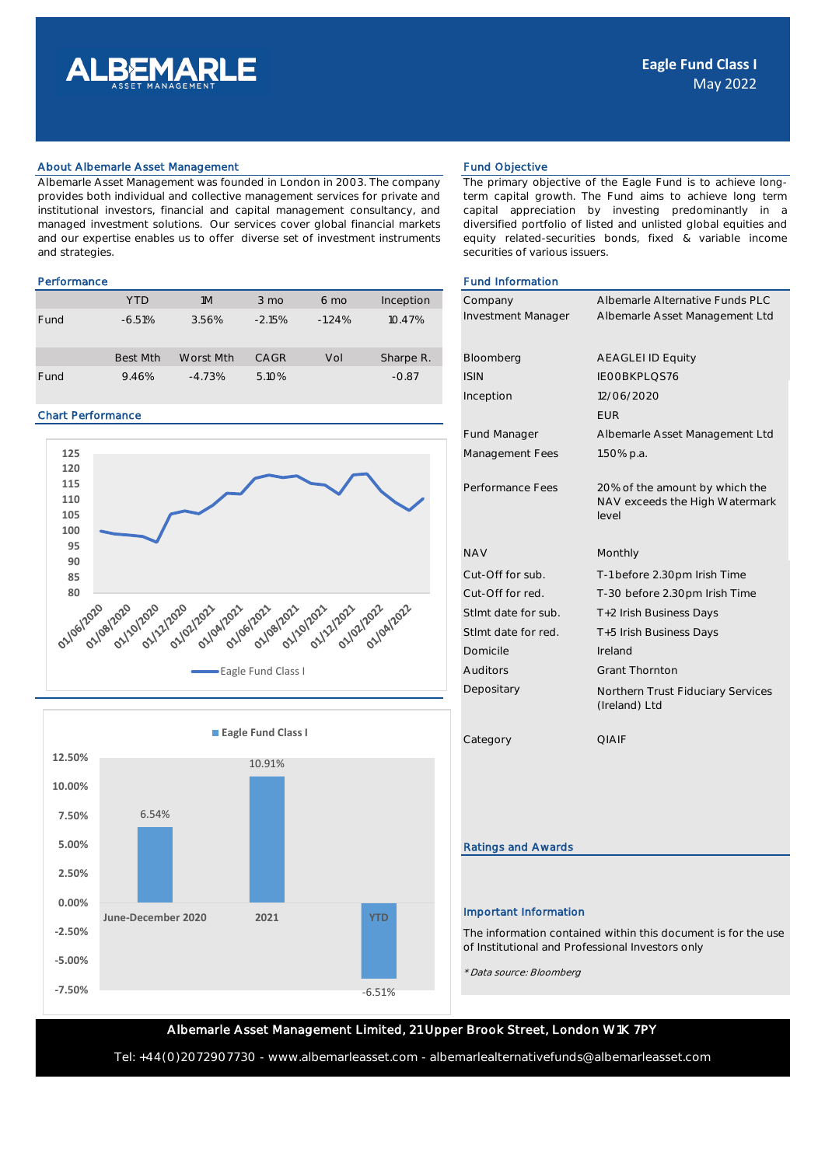

## About Albemarle Asset Management Fund Objective Fund Objective

Albemarle Asset Management was founded in London in 2003. The company provides both individual and collective management services for private and institutional investors, financial and capital management consultancy, and managed investment solutions. Our services cover global financial markets and our expertise enables us to offer diverse set of investment instruments and strategies.

|      | <b>YTD</b>      | 1M        | $3 \text{ mo}$ | $6 \text{ mo}$ | Inception | Company            | Albemarle Alternat       |
|------|-----------------|-----------|----------------|----------------|-----------|--------------------|--------------------------|
| Fund | $-6.51%$        | 3.56%     | $-2.15%$       | $-1.24%$       | 10.47%    | Investment Manager | Albemarle Asset M        |
|      | <b>Best Mth</b> | Worst Mth | CAGR           | Vol            | Sharpe R. | Bloomberg          | <b>AEAGLEI ID Equity</b> |
| Fund | 9.46%           | $-4.73%$  | 5.10%          |                | $-0.87$   | <b>ISIN</b>        | IEOOBKPLOS76             |

### Chart Performance





The primary objective of the Eagle Fund is to achieve longterm capital growth. The Fund aims to achieve long term capital appreciation by investing predominantly in a diversified portfolio of listed and unlisted global equities and equity related-securities bonds, fixed & variable income securities of various issuers.

# Performance **Fund Information Fund Information**

| Company<br>Investment Manager | Albemarle Alternative Funds PLC<br>Albemarle Asset Management Ltd         |
|-------------------------------|---------------------------------------------------------------------------|
|                               |                                                                           |
| Bloomberg                     | <b>AEAGLEI ID Equity</b>                                                  |
| <b>ISIN</b>                   | IEOOBKPLQS76                                                              |
| Inception                     | 12/06/2020                                                                |
|                               | <b>EUR</b>                                                                |
| <b>Fund Manager</b>           | Albemarle Asset Management Ltd                                            |
| Management Fees               | 1.50% p.a.                                                                |
| Performance Fees              | 20% of the amount by which the<br>NAV exceeds the High Watermark<br>level |
| <b>NAV</b>                    | Monthly                                                                   |
| Cut-Off for sub.              | T-1 before 2.30pm Irish Time                                              |
| Cut-Off for red.              | T-30 before 2.30pm Irish Time                                             |
| Stlmt date for sub.           | T+2 Irish Business Days                                                   |
| Stlmt date for red.           | T+5 Irish Business Days                                                   |
| Domicile                      | Ireland                                                                   |
| Auditors                      | <b>Grant Thornton</b>                                                     |
| Depositary                    | Northern Trust Fiduciary Services<br>(Ireland) Ltd                        |
| Category                      | <b>QIAIF</b>                                                              |
|                               |                                                                           |
|                               |                                                                           |
| <b>Ratings and Awards</b>     |                                                                           |
|                               |                                                                           |
| <b>Important Information</b>  |                                                                           |

The information contained within this document is for the use of Institutional and Professional Investors only

\* Data source: Bloomberg

# Albemarle Asset Management Limited, 21 Upper Brook Street, London W1K 7PY

Tel: +44(0)2072907730 - www.albemarleasset.com - albemarlealternativefunds@albemarleasset.com